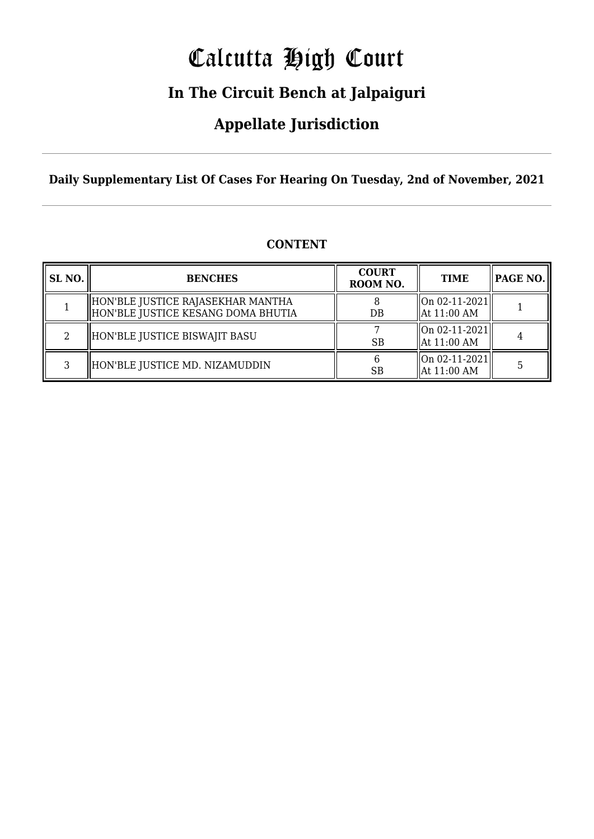# Calcutta High Court

### **In The Circuit Bench at Jalpaiguri**

### **Appellate Jurisdiction**

**Daily Supplementary List Of Cases For Hearing On Tuesday, 2nd of November, 2021**

| SL <sub>NO</sub> . | <b>BENCHES</b>                                                          | <b>COURT</b><br>ROOM NO. | <b>TIME</b>                                          | <b>PAGE NO.</b> |
|--------------------|-------------------------------------------------------------------------|--------------------------|------------------------------------------------------|-----------------|
|                    | HON'BLE JUSTICE RAJASEKHAR MANTHA<br>HON'BLE JUSTICE KESANG DOMA BHUTIA | DB                       | $\parallel$ On 02-11-2021<br>$\parallel$ At 11:00 AM |                 |
| ົ                  | HON'BLE JUSTICE BISWAJIT BASU                                           | <b>SB</b>                | $\parallel$ On 02-11-2021<br>$\parallel$ At 11:00 AM |                 |
| Q.                 | HON'BLE JUSTICE MD. NIZAMUDDIN                                          | <b>SB</b>                | On 02-11-2021 <br>$\parallel$ At 11:00 AM            |                 |

#### **CONTENT**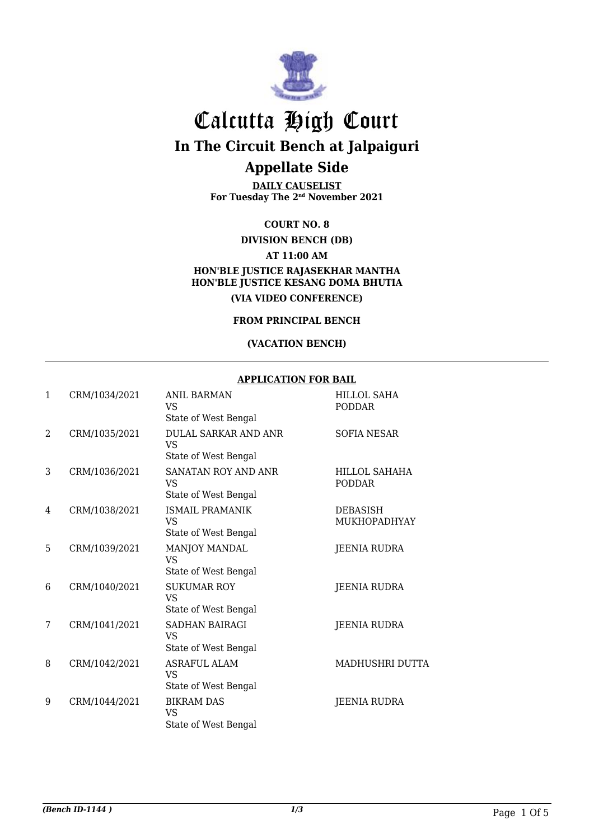

## Calcutta High Court

**In The Circuit Bench at Jalpaiguri**

### **Appellate Side**

**DAILY CAUSELIST For Tuesday The 2nd November 2021**

**COURT NO. 8**

**DIVISION BENCH (DB)**

**AT 11:00 AM**

#### **HON'BLE JUSTICE RAJASEKHAR MANTHA HON'BLE JUSTICE KESANG DOMA BHUTIA (VIA VIDEO CONFERENCE)**

**FROM PRINCIPAL BENCH**

#### **(VACATION BENCH)**

#### **APPLICATION FOR BAIL**

| 1              | CRM/1034/2021 | <b>ANIL BARMAN</b><br><b>VS</b><br>State of West Bengal   | <b>HILLOL SAHA</b><br><b>PODDAR</b> |
|----------------|---------------|-----------------------------------------------------------|-------------------------------------|
| $\overline{2}$ | CRM/1035/2021 | <b>DULAL SARKAR AND ANR</b><br>VS<br>State of West Bengal | <b>SOFIA NESAR</b>                  |
| 3              | CRM/1036/2021 | <b>SANATAN ROY AND ANR</b><br>VS.<br>State of West Bengal | HILLOL SAHAHA<br><b>PODDAR</b>      |
| 4              | CRM/1038/2021 | <b>ISMAIL PRAMANIK</b><br>VS<br>State of West Bengal      | <b>DEBASISH</b><br>MUKHOPADHYAY     |
| 5              | CRM/1039/2021 | MANJOY MANDAL<br><b>VS</b><br>State of West Bengal        | <b>JEENIA RUDRA</b>                 |
| 6              | CRM/1040/2021 | <b>SUKUMAR ROY</b><br><b>VS</b><br>State of West Bengal   | <b>JEENIA RUDRA</b>                 |
| 7              | CRM/1041/2021 | SADHAN BAIRAGI<br><b>VS</b><br>State of West Bengal       | <b>JEENIA RUDRA</b>                 |
| 8              | CRM/1042/2021 | <b>ASRAFUL ALAM</b><br><b>VS</b><br>State of West Bengal  | MADHUSHRI DUTTA                     |
| 9              | CRM/1044/2021 | <b>BIKRAM DAS</b><br><b>VS</b><br>State of West Bengal    | <b>JEENIA RUDRA</b>                 |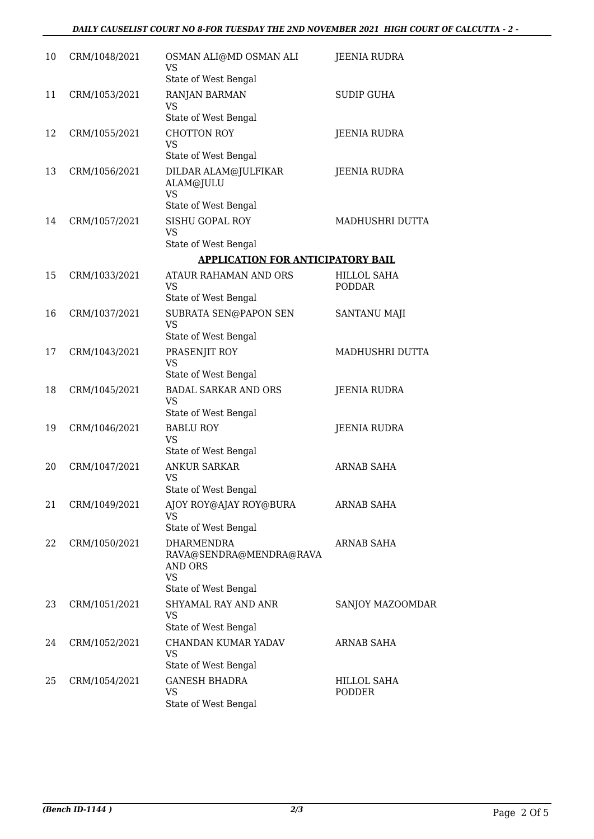#### *DAILY CAUSELIST COURT NO 8-FOR TUESDAY THE 2ND NOVEMBER 2021 HIGH COURT OF CALCUTTA - 2 -*

| 10 | CRM/1048/2021 | OSMAN ALI@MD OSMAN ALI<br><b>VS</b><br>State of West Bengal                                  | JEENIA RUDRA                 |
|----|---------------|----------------------------------------------------------------------------------------------|------------------------------|
| 11 | CRM/1053/2021 | RANJAN BARMAN<br>VS<br>State of West Bengal                                                  | <b>SUDIP GUHA</b>            |
| 12 | CRM/1055/2021 | <b>CHOTTON ROY</b><br><b>VS</b><br>State of West Bengal                                      | <b>JEENIA RUDRA</b>          |
| 13 | CRM/1056/2021 | DILDAR ALAM@JULFIKAR<br>ALAM@JULU<br><b>VS</b>                                               | <b>JEENIA RUDRA</b>          |
|    |               | State of West Bengal                                                                         |                              |
| 14 | CRM/1057/2021 | SISHU GOPAL ROY<br><b>VS</b>                                                                 | MADHUSHRI DUTTA              |
|    |               | State of West Bengal                                                                         |                              |
|    |               | <b>APPLICATION FOR ANTICIPATORY BAIL</b>                                                     |                              |
| 15 | CRM/1033/2021 | ATAUR RAHAMAN AND ORS<br>VS<br>State of West Bengal                                          | HILLOL SAHA<br><b>PODDAR</b> |
| 16 | CRM/1037/2021 | SUBRATA SEN@PAPON SEN<br><b>VS</b><br>State of West Bengal                                   | <b>SANTANU MAJI</b>          |
| 17 |               |                                                                                              |                              |
|    | CRM/1043/2021 | PRASENJIT ROY<br>VS<br>State of West Bengal                                                  | MADHUSHRI DUTTA              |
| 18 | CRM/1045/2021 | <b>BADAL SARKAR AND ORS</b><br><b>VS</b>                                                     | JEENIA RUDRA                 |
|    |               | State of West Bengal                                                                         |                              |
| 19 | CRM/1046/2021 | <b>BABLU ROY</b><br><b>VS</b><br>State of West Bengal                                        | <b>JEENIA RUDRA</b>          |
| 20 | CRM/1047/2021 | <b>ANKUR SARKAR</b>                                                                          | <b>ARNAB SAHA</b>            |
|    |               | VS<br>State of West Bengal                                                                   |                              |
| 21 | CRM/1049/2021 | AJOY ROY@AJAY ROY@BURA<br>VS                                                                 | <b>ARNAB SAHA</b>            |
|    |               | State of West Bengal                                                                         |                              |
| 22 | CRM/1050/2021 | <b>DHARMENDRA</b><br>RAVA@SENDRA@MENDRA@RAVA<br>AND ORS<br><b>VS</b><br>State of West Bengal | <b>ARNAB SAHA</b>            |
| 23 | CRM/1051/2021 | <b>SHYAMAL RAY AND ANR</b><br><b>VS</b><br>State of West Bengal                              | SANJOY MAZOOMDAR             |
| 24 | CRM/1052/2021 | CHANDAN KUMAR YADAV<br><b>VS</b>                                                             | <b>ARNAB SAHA</b>            |
|    |               | State of West Bengal                                                                         |                              |
| 25 | CRM/1054/2021 | <b>GANESH BHADRA</b><br><b>VS</b><br>State of West Bengal                                    | HILLOL SAHA<br>PODDER        |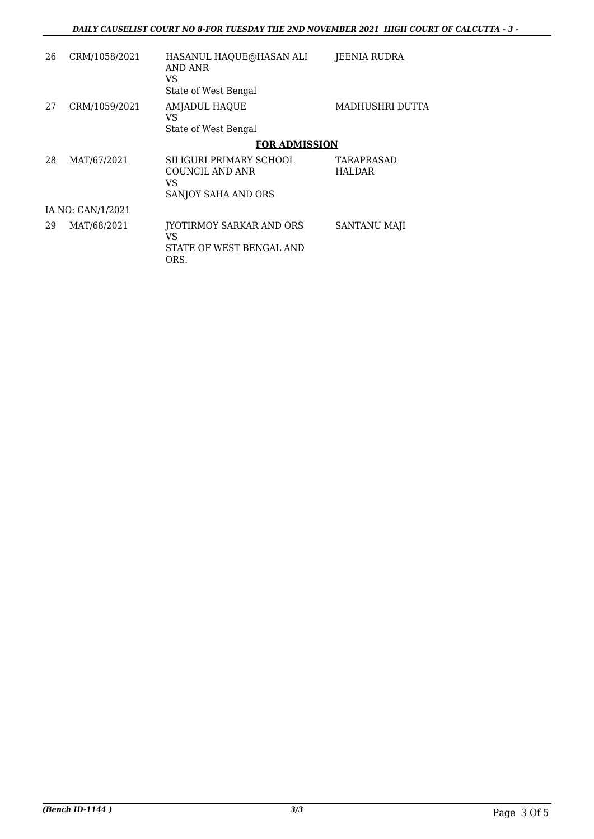| 26                | CRM/1058/2021 | HASANUL HAQUE@HASAN ALI<br>AND ANR<br>VS<br>State of West Bengal        | JEENIA RUDRA                |  |
|-------------------|---------------|-------------------------------------------------------------------------|-----------------------------|--|
| 27                | CRM/1059/2021 | AMJADUL HAQUE<br>VS<br>State of West Bengal                             | MADHUSHRI DUTTA             |  |
|                   |               | <b>FOR ADMISSION</b>                                                    |                             |  |
| 28                | MAT/67/2021   | SILIGURI PRIMARY SCHOOL<br>COUNCIL AND ANR<br>VS<br>SANJOY SAHA AND ORS | TARAPRASAD<br><b>HALDAR</b> |  |
| IA NO: CAN/1/2021 |               |                                                                         |                             |  |
| 29                | MAT/68/2021   | JYOTIRMOY SARKAR AND ORS<br>VS<br>STATE OF WEST BENGAL AND<br>ORS.      | SANTANU MAJI                |  |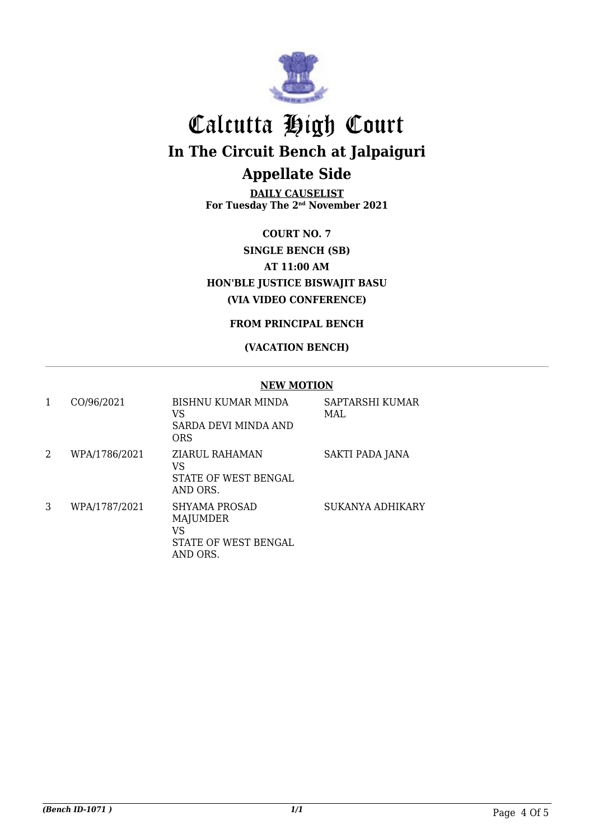

## Calcutta High Court **In The Circuit Bench at Jalpaiguri Appellate Side**

**DAILY CAUSELIST For Tuesday The 2nd November 2021**

**COURT NO. 7 SINGLE BENCH (SB) AT 11:00 AM HON'BLE JUSTICE BISWAJIT BASU (VIA VIDEO CONFERENCE)**

#### **FROM PRINCIPAL BENCH**

#### **(VACATION BENCH)**

#### **NEW MOTION**

| 1 | CO/96/2021    | BISHNU KUMAR MINDA<br>VS<br>SARDA DEVI MINDA AND<br>ORS             | SAPTARSHI KUMAR<br>MAL. |
|---|---------------|---------------------------------------------------------------------|-------------------------|
| 2 | WPA/1786/2021 | ZIARUL RAHAMAN<br>VS<br>STATE OF WEST BENGAL<br>AND ORS.            | SAKTI PADA JANA         |
| 3 | WPA/1787/2021 | SHYAMA PROSAD<br>MAJUMDER<br>VS<br>STATE OF WEST BENGAL<br>AND ORS. | SUKANYA ADHIKARY        |